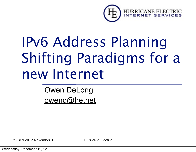

# IPv6 Address Planning Shifting Paradigms for a new Internet

#### Owen DeLong [owend@he.net](mailto:owend@he.net)

Revised 2012 November 12 Hurricane Electric

Wednesday, December 12, 12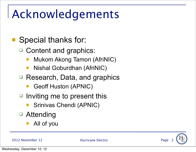### Acknowledgements

- Special thanks for:
	- □ Content and graphics:
		- Mukom Akong Tamon (AfriNIC)
		- Nishal Goburdhan (AfriNIC)
	- Research, Data, and graphics
		- Geoff Huston (APNIC)
	- $\Box$  Inviting me to present this
		- Srinivas Chendi (APNIC)
	- □ Attending
		- All of you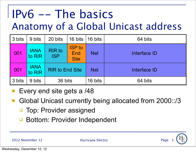#### IPv6 -- The basics Anatomy of a Global Unicast address

| 3 bits | 9 bits                | 20 bits                     | 16 bits                             | 16 bits    | 64 bits      |  |
|--------|-----------------------|-----------------------------|-------------------------------------|------------|--------------|--|
| 001    | <b>IANA</b><br>to RIR | <b>RIR to</b><br><b>ISP</b> | <b>ISP to</b><br>End<br><b>Site</b> | <b>Net</b> | Interface ID |  |
| 001    | <b>IANA</b><br>to RIR | <b>RIR to End Site</b>      |                                     | <b>Net</b> | Interface ID |  |
| 3 bits | 9 bits                | 36 bits                     |                                     | 16 bits    | 64 bits      |  |

- Every end site gets a /48
- Global Unicast currently being allocated from 2000::/3
	- Top: Provider assigned
	- Bottom: Provider Independent

2012 November 12 **Hurricane Electric** Page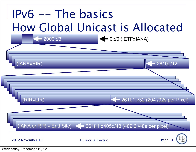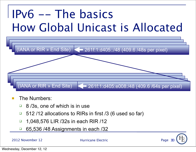#### IPv6 -- The basics How Global Unicast is Allocated



- The Numbers:
	- 8/3s, one of which is in use
	- $\Box$  512/12 allocations to RIRs in first /3 (6 used so far)
	- 1,048,576 LIR /32s in each RIR /12
	- 65,536 /48 Assignments in each /32

2012 November 12 Hurricane Electric

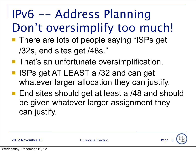## IPv6 -- Address Planning Don't oversimplify too much!

- **There are lots of people saying "ISPs get** /32s, end sites get /48s."
- **That's an unfortunate oversimplification.**
- ISPs get AT LEAST a /32 and can get whatever larger allocation they can justify.
- End sites should get at least a /48 and should be given whatever larger assignment they can justify.

2012 November 12 **Hurricane Electric Electric** Page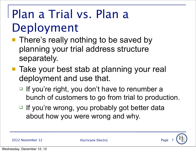#### Plan a Trial vs. Plan a Deployment

- **There's really nothing to be saved by** planning your trial address structure separately.
- Take your best stab at planning your real deployment and use that.
	- $\Box$  If you're right, you don't have to renumber a bunch of customers to go from trial to production.
	- $\Box$  If you're wrong, you probably got better data about how you were wrong and why.

2012 November 12 **Hurricane Electric** Page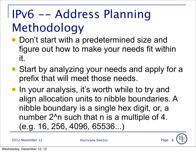## IPv6 -- Address Planning Methodology

- Don't start with a predetermined size and figure out how to make your needs fit within it.
- Start by analyzing your needs and apply for a prefix that will meet those needs.
- **If** In your analysis, it's worth while to try and align allocation units to nibble boundaries. A nibble boundary is a single hex digit, or, a number 2<sup>^</sup>n such that n is a multiple of 4. (e.g. 16, 256, 4096, 65536...)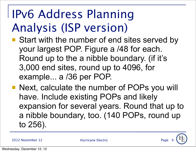#### IPv6 Address Planning Analysis (ISP version)

- Start with the number of end sites served by your largest POP. Figure a /48 for each. Round up to the a nibble boundary. (if it's 3,000 end sites, round up to 4096, for example... a /36 per POP.
- Next, calculate the number of POPs you will have. Include existing POPs and likely expansion for several years. Round that up to a nibble boundary, too. (140 POPs, round up to 256).

2012 November 12 **Hurricane Electric** Page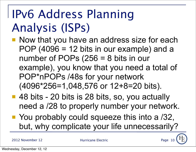#### IPv6 Address Planning Analysis (ISPs)

- **Now that you have an address size for each** POP (4096 = 12 bits in our example) and a number of POPs (256 = 8 bits in our example), you know that you need a total of POP\*nPOPs /48s for your network (4096\*256=1,048,576 or 12+8=20 bits).
- 48 bits 20 bits is 28 bits, so, you actually need a /28 to properly number your network.
- You probably could squeeze this into a /32, but, why complicate your life unnecessarily?

2012 November 12 **Hurricane Electric** Page 12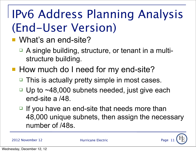#### IPv6 Address Planning Analysis (End-User Version)

- What's an end-site?
	- □ A single building, structure, or tenant in a multistructure building.
- **How much do I need for my end-site?** 
	- □ This is actually pretty simple in most cases.
	- $\Box$  Up to  $\sim$ 48,000 subnets needed, just give each end-site a /48.
	- $\Box$  If you have an end-site that needs more than 48,000 unique subnets, then assign the necessary number of /48s.

Page 1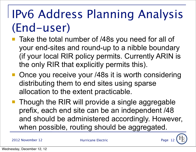#### IPv6 Address Planning Analysis (End-user)

- Take the total number of /48s you need for all of your end-sites and round-up to a nibble boundary (if your local RIR policy permits. Currently ARIN is the only RIR that explicitly permits this).
- Once you receive your /48s it is worth considering distributing them to end sites using sparse allocation to the extent practicable.
- Though the RIR will provide a single aggregable prefix, each end site can be an independent /48 and should be administered accordingly. However, when possible, routing should be aggregated.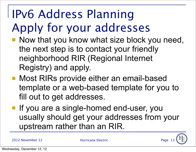## IPv6 Address Planning Apply for your addresses

- Now that you know what size block you need, the next step is to contact your friendly neighborhood RIR (Regional Internet Registry) and apply.
- Most RIRs provide either an email-based template or a web-based template for you to fill out to get addresses.
- **If you are a single-homed end-user, you** usually should get your addresses from your upstream rather than an RIR.

2012 November 12 **Hurricane Electric** Page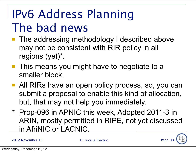#### IPv6 Address Planning The bad news

- The addressing methodology I described above may not be consistent with RIR policy in all regions (yet)\*.
- **This means you might have to negotiate to a** smaller block.
- All RIRs have an open policy process, so, you can submit a proposal to enable this kind of allocation, but, that may not help you immediately.
- \* Prop-096 in APNIC this week, Adopted 2011-3 in ARIN, mostly permitted in RIPE, not yet discussed in AfriNIC or LACNIC.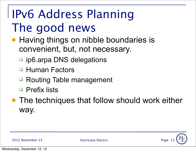#### IPv6 Address Planning The good news

- **Having things on nibble boundaries is** convenient, but, not necessary.
	- pip6.arpa DNS delegations
	- □ Human Factors
	- Routing Table management
	- □ Prefix lists
- The techniques that follow should work either way.

2012 November 12 **Hurricane Electric** Page 12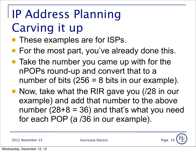# IP Address Planning Carving it up

- **These examples are for ISPs.**
- For the most part, you've already done this.
- Take the number you came up with for the nPOPs round-up and convert that to a number of bits  $(256 = 8$  bits in our example).
- Now, take what the RIR gave you (/28 in our example) and add that number to the above number  $(28+8 = 36)$  and that's what you need for each POP (a /36 in our example).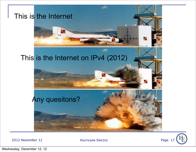

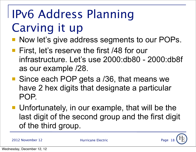## IPv6 Address Planning Carving it up

- Now let's give address segments to our POPs.
- **First, let's reserve the first /48 for our** infrastructure. Let's use 2000:db80 - 2000:db8f as our example /28.
- Since each POP gets a /36, that means we have 2 hex digits that designate a particular POP.
- Unfortunately, in our example, that will be the last digit of the second group and the first digit of the third group.

2012 November 12 **Hurricane Electric** Page 12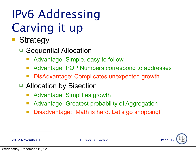## IPv6 Addressing Carving it up

- **Strategy** 
	- □ Sequential Allocation
		- Advantage: Simple, easy to follow
		- Advantage: POP Numbers correspond to addresses
		- DisAdvantage: Complicates unexpected growth
	- □ Allocation by Bisection
		- Advantage: Simplifies growth
		- Advantage: Greatest probability of Aggregation
		- Disadvantage: "Math is hard. Let's go shopping!"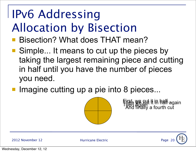## IPv6 Addressing Allocation by Bisection

- Bisection? What does THAT mean?
- Simple... It means to cut up the pieces by taking the largest remaining piece and cutting in half until you have the number of pieces you need.
- **Imagine cutting up a pie into 8 pieces...**



First, we cut it in half again<br>Then Again it in half again

2012 November 12 Hurricane Electric

Wednesday, December 12, 12

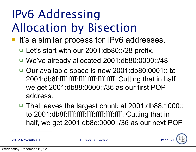## IPv6 Addressing Allocation by Bisection

- It's a similar process for IPv6 addresses.
	- Let's start with our 2001:db80::/28 prefix.
	- We've already allocated 2001:db80:0000::/48
	- □ Our available space is now 2001:db80:0001:: to 2001:db8f:ffff:ffff:ffff:ffff:ffff:ffff. Cutting that in half we get 2001:db88:0000::/36 as our first POP address.
	- That leaves the largest chunk at 2001:db88:1000:: to 2001:db8f:ffff:ffff:ffff:ffff:ffff:ffff. Cutting that in half, we get 2001:db8c:0000::/36 as our next POP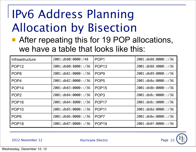#### IPv6 Address Planning Allocation by Bisection

■ After repeating this for 19 POP allocations, we have a table that looks like this:

| Infrsastructure   | 2001:db80:0000:/48   | POP <sub>1</sub>  | 2001:db88:0000::/36  |
|-------------------|----------------------|-------------------|----------------------|
| POP <sub>12</sub> | 2001:db80:8000::/36  | POP <sub>13</sub> | 2001: db88:8000::/36 |
| POP <sub>8</sub>  | 2001:db81:0000::/36  | POP <sub>9</sub>  | 2001:db89:0000::/36  |
| POP <sub>4</sub>  | 2001:db82:0000::/36  | POP <sub>5</sub>  | 2001: db8a:0000::/36 |
| POP <sub>14</sub> | 2001: db83:0000::/36 | POP <sub>15</sub> | 2001: db8b:0000::/36 |
| POP <sub>2</sub>  | 2001: db84:0000::/36 | POP <sub>3</sub>  | 2001: db8c:0000::/36 |
| POP <sub>16</sub> | 2001: db84:8000::/36 | POP <sub>17</sub> | 2001: db8c:8000::/36 |
| POP <sub>10</sub> | 2001: db85:0000::/36 | <b>POP11</b>      | 2001:db8d:0000::/36  |
| POP <sub>6</sub>  | 2001: db86:0000::/36 | POP <sub>7</sub>  | 2001: db8e:0000::/36 |
| POP <sub>18</sub> | 2001:db87:0000::/36  | POP <sub>19</sub> | 2001:db8f:0000::/36  |

2012 November 12 **Hurricane Electric** Page 12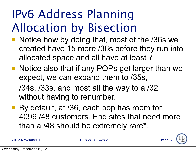#### IPv6 Address Planning Allocation by Bisection

- Notice how by doing that, most of the /36s we created have 15 more /36s before they run into allocated space and all have at least 7.
- Notice also that if any POPs get larger than we expect, we can expand them to /35s, /34s, /33s, and most all the way to a /32
	- without having to renumber.
- By default, at /36, each pop has room for 4096 /48 customers. End sites that need more than a /48 should be extremely rare\*.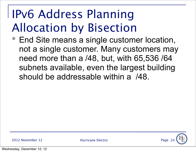#### IPv6 Address Planning Allocation by Bisection

\* End Site means a single customer location, not a single customer. Many customers may need more than a /48, but, with 65,536 /64 subnets available, even the largest building should be addressable within a /48.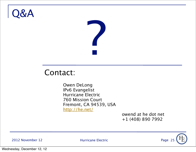#### Q&A



#### Contact:

Owen DeLong IPv6 Evangelist Hurricane Electric 760 Mission Court Fremont, CA 94539, USA <http://he.net/>

 

owend at he dot net 
+1 (408) 890 7992